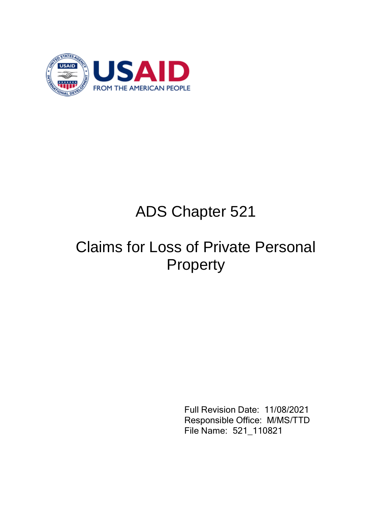

# ADS Chapter 521

# Claims for Loss of Private Personal **Property**

Full Revision Date: 11/08/2021 Responsible Office: M/MS/TTD File Name: 521\_110821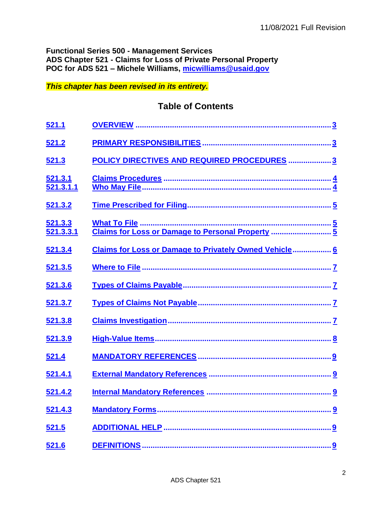**Functional Series 500 - Management Services ADS Chapter 521 - Claims for Loss of Private Personal Property POC for ADS 521 – Michele Williams, [micwilliams@usaid.gov](mailto:micwilliams@usaid.gov)**

*This chapter has been revised in its entirety.*

## **Table of Contents**

| 521.1                |                                                        |
|----------------------|--------------------------------------------------------|
| <u>521.2</u>         |                                                        |
| 521.3                | POLICY DIRECTIVES AND REQUIRED PROCEDURES 3            |
| 521.3.1<br>521.3.1.1 |                                                        |
| 521.3.2              |                                                        |
| 521.3.3<br>521.3.3.1 | Claims for Loss or Damage to Personal Property 5       |
| <u>521.3.4</u>       | Claims for Loss or Damage to Privately Owned Vehicle 6 |
| <u>521.3.5</u>       |                                                        |
| 521.3.6              |                                                        |
| 521.3.7              |                                                        |
| 521.3.8              |                                                        |
| 521.3.9              |                                                        |
| 521.4                |                                                        |
| <u>521.4.1</u>       |                                                        |
| <u>521.4.2</u>       |                                                        |
| 521.4.3              |                                                        |
| 521.5                |                                                        |
| 521.6                |                                                        |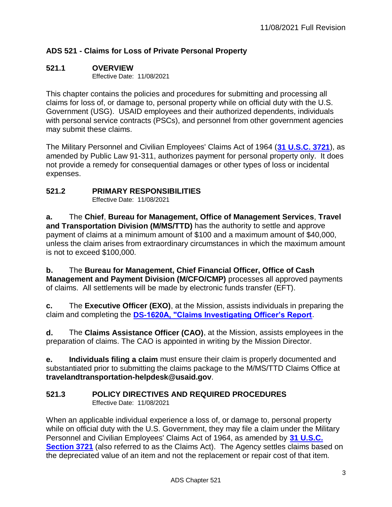## **ADS 521 - Claims for Loss of Private Personal Property**

#### <span id="page-2-0"></span>**521.1 OVERVIEW**

Effective Date: 11/08/2021

This chapter contains the policies and procedures for submitting and processing all claims for loss of, or damage to, personal property while on official duty with the U.S. Government (USG). USAID employees and their authorized dependents, individuals with personal service contracts (PSCs), and personnel from other government agencies may submit these claims.

The Military Personnel and Civilian Employees' Claims Act of 1964 (**[31 U.S.C. 3721](https://uscode.house.gov/view.xhtml?req=(title:31%20section:3721%20edition:prelim)%20OR%20(granuleid:USC-prelim-title31-section3721)&f=treesort&edition=prelim&num=0&jumpTo=true)**), as amended by Public Law 91-311, authorizes payment for personal property only. It does not provide a remedy for consequential damages or other types of loss or incidental expenses.

## <span id="page-2-1"></span>**521.2 PRIMARY RESPONSIBILITIES**

Effective Date: 11/08/2021

**a.** The **Chief**, **Bureau for Management, Office of Management Services**, **Travel and Transportation Division (M/MS/TTD)** has the authority to settle and approve payment of claims at a minimum amount of \$100 and a maximum amount of \$40,000, unless the claim arises from extraordinary circumstances in which the maximum amount is not to exceed \$100,000.

**b.** The **Bureau for Management, Chief Financial Officer, Office of Cash Management and Payment Division (M/CFO/CMP)** processes all approved payments of claims. All settlements will be made by electronic funds transfer (EFT).

**c.** The **Executive Officer (EXO)**, at the Mission, assists individuals in preparing the claim and completing the **[DS-1620A, "Claims Investigating Officer's Report](https://www.usaid.gov/forms/ds-1620a)**.

**d.** The **Claims Assistance Officer (CAO)**, at the Mission, assists employees in the preparation of claims. The CAO is appointed in writing by the Mission Director.

**e. Individuals filing a claim** must ensure their claim is properly documented and substantiated prior to submitting the claims package to the M/MS/TTD Claims Office at **travelandtransportation-helpdesk@usaid.gov**.

#### <span id="page-2-2"></span>**521.3 POLICY DIRECTIVES AND REQUIRED PROCEDURES** Effective Date: 11/08/2021

When an applicable individual experience a loss of, or damage to, personal property while on official duty with the U.S. Government, they may file a claim under the Military Personnel and Civilian Employees' Claims Act of 1964, as amended by **[31 U.S.C.](https://www.govinfo.gov/app/details/USCODE-2010-title31/USCODE-2010-title31-subtitleIII-chap37-subchapIII-sec3721)  [Section 3721](https://www.govinfo.gov/app/details/USCODE-2010-title31/USCODE-2010-title31-subtitleIII-chap37-subchapIII-sec3721)** (also referred to as the Claims Act). The Agency settles claims based on the depreciated value of an item and not the replacement or repair cost of that item.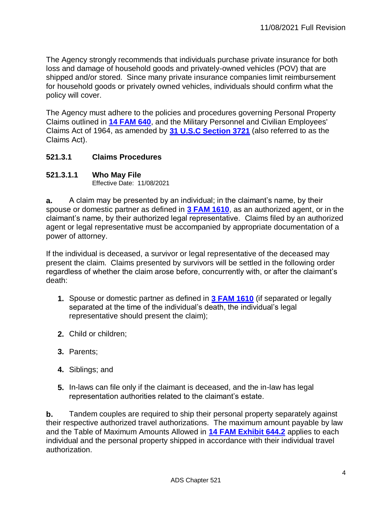The Agency strongly recommends that individuals purchase private insurance for both loss and damage of household goods and privately-owned vehicles (POV) that are shipped and/or stored. Since many private insurance companies limit reimbursement for household goods or privately owned vehicles, individuals should confirm what the policy will cover.

The Agency must adhere to the policies and procedures governing Personal Property Claims outlined in **[14 FAM 640](https://fam.state.gov/fam/14fam/14fam0640.html)**, and the Military Personnel and Civilian Employees' Claims Act of 1964, as amended by **[31 U.S.C Section 3721](https://www.govinfo.gov/app/details/USCODE-2010-title31/USCODE-2010-title31-subtitleIII-chap37-subchapIII-sec3721)** (also referred to as the Claims Act).

## <span id="page-3-0"></span>**521.3.1 Claims Procedures**

#### <span id="page-3-1"></span>**521.3.1.1 Who May File**

Effective Date: 11/08/2021

**a.** A claim may be presented by an individual; in the claimant's name, by their spouse or domestic partner as defined in **[3 FAM 1610](https://fam.state.gov/fam/03fam/03fam1610.html#M1610)**, as an authorized agent, or in the claimant's name, by their authorized legal representative. Claims filed by an authorized agent or legal representative must be accompanied by appropriate documentation of a power of attorney.

If the individual is deceased, a survivor or legal representative of the deceased may present the claim. Claims presented by survivors will be settled in the following order regardless of whether the claim arose before, concurrently with, or after the claimant's death:

- **1.** Spouse or domestic partner as defined in **[3 FAM 1610](https://fam.state.gov/fam/03fam/03fam1610.html#M1610)** (if separated or legally separated at the time of the individual's death, the individual's legal representative should present the claim);
- **2.** Child or children;
- **3.** Parents;
- **4.** Siblings; and
- **5.** In-laws can file only if the claimant is deceased, and the in-law has legal representation authorities related to the claimant's estate.

**b.** Tandem couples are required to ship their personal property separately against their respective authorized travel authorizations. The maximum amount payable by law and the Table of Maximum Amounts Allowed in **[14 FAM Exhibit 644.2](https://fam.state.gov/fam/14fam/14fam0640.html#X644_2)** applies to each individual and the personal property shipped in accordance with their individual travel authorization.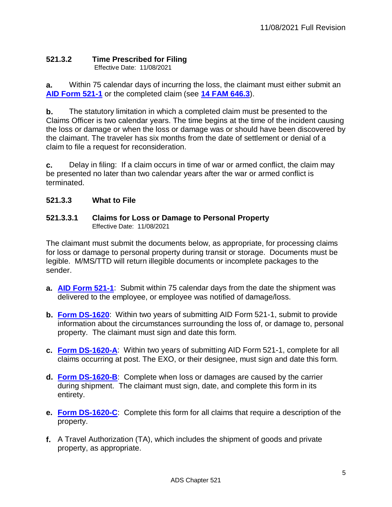## <span id="page-4-0"></span>**521.3.2 Time Prescribed for Filing**

Effective Date: 11/08/2021

**a.** Within 75 calendar days of incurring the loss, the claimant must either submit an **[AID Form 521-1](https://www.usaid.gov/forms/aid-521-1)** or the completed claim (see **[14 FAM 646.3](https://fam.state.gov/fam/14fam/14fam0640.html)**).

**b.** The statutory limitation in which a completed claim must be presented to the Claims Officer is two calendar years. The time begins at the time of the incident causing the loss or damage or when the loss or damage was or should have been discovered by the claimant. The traveler has six months from the date of settlement or denial of a claim to file a request for reconsideration.

**c.** Delay in filing: If a claim occurs in time of war or armed conflict, the claim may be presented no later than two calendar years after the war or armed conflict is terminated.

## <span id="page-4-1"></span>**521.3.3 What to File**

#### <span id="page-4-2"></span>**521.3.3.1 Claims for Loss or Damage to Personal Property** Effective Date: 11/08/2021

The claimant must submit the documents below, as appropriate, for processing claims for loss or damage to personal property during transit or storage. Documents must be legible. M/MS/TTD will return illegible documents or incomplete packages to the sender.

- **a. [AID Form 521-1](https://www.usaid.gov/forms/aid-521-1)**: Submit within 75 calendar days from the date the shipment was delivered to the employee, or employee was notified of damage/loss.
- **b. [Form DS-1620](https://www.usaid.gov/forms/ds-1620)**: Within two years of submitting AID Form 521-1, submit to provide information about the circumstances surrounding the loss of, or damage to, personal property. The claimant must sign and date this form.
- **c. [Form DS-1620-A](https://www.usaid.gov/forms/ds-1620a)**: Within two years of submitting AID Form 521-1, complete for all claims occurring at post. The EXO, or their designee, must sign and date this form.
- **d. [Form DS-1620-B](https://www.usaid.gov/forms/ds-1620b)**: Complete when loss or damages are caused by the carrier during shipment. The claimant must sign, date, and complete this form in its entirety.
- **e. [Form DS-1620-C](https://www.usaid.gov/forms/ds-1620c)**: Complete this form for all claims that require a description of the property.
- **f.** A Travel Authorization (TA), which includes the shipment of goods and private property, as appropriate.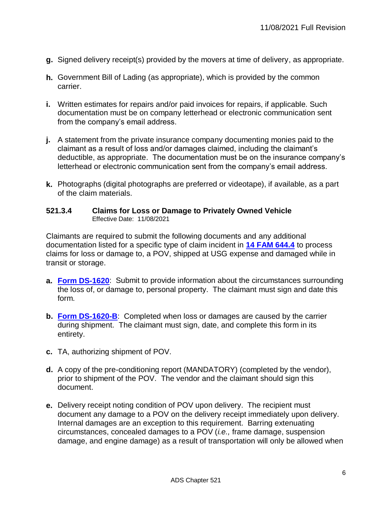- **g.** Signed delivery receipt(s) provided by the movers at time of delivery, as appropriate.
- **h.** Government Bill of Lading (as appropriate), which is provided by the common carrier.
- **i.** Written estimates for repairs and/or paid invoices for repairs, if applicable. Such documentation must be on company letterhead or electronic communication sent from the company's email address.
- **j.** A statement from the private insurance company documenting monies paid to the claimant as a result of loss and/or damages claimed, including the claimant's deductible, as appropriate. The documentation must be on the insurance company's letterhead or electronic communication sent from the company's email address.
- **k.** Photographs (digital photographs are preferred or videotape), if available, as a part of the claim materials.

#### <span id="page-5-0"></span>**521.3.4 Claims for Loss or Damage to Privately Owned Vehicle** Effective Date: 11/08/2021

Claimants are required to submit the following documents and any additional documentation listed for a specific type of claim incident in **[14 FAM 644.4](https://fam.state.gov/fam/14fam/14fam0640.html#M644_4)** to process claims for loss or damage to, a POV, shipped at USG expense and damaged while in transit or storage.

- **a. [Form DS-1620](https://www.usaid.gov/forms/ds-1620)**: Submit to provide information about the circumstances surrounding the loss of, or damage to, personal property. The claimant must sign and date this form.
- **b. [Form DS-1620-B](https://www.usaid.gov/forms/ds-1620b)**: Completed when loss or damages are caused by the carrier during shipment. The claimant must sign, date, and complete this form in its entirety.
- **c.** TA, authorizing shipment of POV.
- **d.** A copy of the pre-conditioning report (MANDATORY) (completed by the vendor), prior to shipment of the POV. The vendor and the claimant should sign this document.
- **e.** Delivery receipt noting condition of POV upon delivery. The recipient must document any damage to a POV on the delivery receipt immediately upon delivery. Internal damages are an exception to this requirement. Barring extenuating circumstances, concealed damages to a POV (*i.e.,* frame damage, suspension damage, and engine damage) as a result of transportation will only be allowed when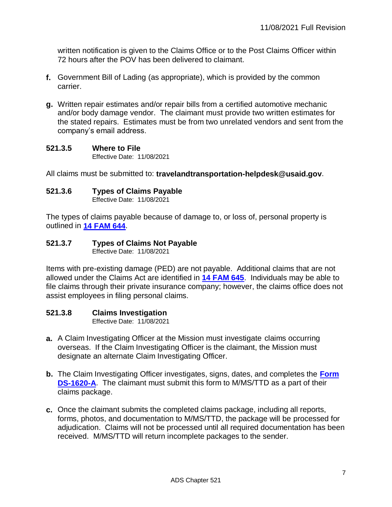written notification is given to the Claims Office or to the Post Claims Officer within 72 hours after the POV has been delivered to claimant.

- **f.** Government Bill of Lading (as appropriate), which is provided by the common carrier.
- **g.** Written repair estimates and/or repair bills from a certified automotive mechanic and/or body damage vendor. The claimant must provide two written estimates for the stated repairs. Estimates must be from two unrelated vendors and sent from the company's email address.

#### <span id="page-6-0"></span>**521.3.5 Where to File**

Effective Date: 11/08/2021

All claims must be submitted to: **travelandtransportation-helpdesk@usaid.gov**.

#### <span id="page-6-1"></span>**521.3.6 Types of Claims Payable**

Effective Date: 11/08/2021

The types of claims payable because of damage to, or loss of, personal property is outlined in **[14 FAM 644](https://fam.state.gov/fam/14fam/14fam0640.html)**.

## <span id="page-6-2"></span>**521.3.7 Types of Claims Not Payable**

Effective Date: 11/08/2021

Items with pre-existing damage (PED) are not payable. Additional claims that are not allowed under the Claims Act are identified in **[14 FAM 645](https://fam.state.gov/fam/14fam/14fam0640.html)**. Individuals may be able to file claims through their private insurance company; however, the claims office does not assist employees in filing personal claims.

#### <span id="page-6-3"></span>**521.3.8 Claims Investigation**

Effective Date: 11/08/2021

- **a.** A Claim Investigating Officer at the Mission must investigate claims occurring overseas. If the Claim Investigating Officer is the claimant, the Mission must designate an alternate Claim Investigating Officer.
- **b.** The Claim Investigating Officer investigates, signs, dates, and completes the **[Form](https://www.usaid.gov/forms/ds-1620a)  [DS-1620-A](https://www.usaid.gov/forms/ds-1620a)**. The claimant must submit this form to M/MS/TTD as a part of their claims package.
- **c.** Once the claimant submits the completed claims package, including all reports, forms, photos, and documentation to M/MS/TTD, the package will be processed for adjudication. Claims will not be processed until all required documentation has been received. M/MS/TTD will return incomplete packages to the sender.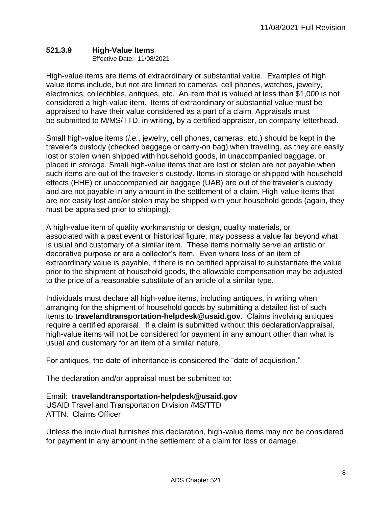## <span id="page-7-0"></span>**521.3.9 High-Value Items**

Effective Date: 11/08/2021

High-value items are items of extraordinary or substantial value. Examples of high value items include, but not are limited to cameras, cell phones, watches, jewelry, electronics, collectibles, antiques, etc. An item that is valued at less than \$1,000 is not considered a high-value item. Items of extraordinary or substantial value must be appraised to have their value considered as a part of a claim. Appraisals must be submitted to M/MS/TTD, in writing, by a certified appraiser, on company letterhead.

Small high-value items (*i.e.*, jewelry, cell phones, cameras, etc.) should be kept in the traveler's custody (checked baggage or carry-on bag) when traveling, as they are easily lost or stolen when shipped with household goods, in unaccompanied baggage, or placed in storage. Small high-value items that are lost or stolen are not payable when such items are out of the traveler's custody. Items in storage or shipped with household effects (HHE) or unaccompanied air baggage (UAB) are out of the traveler's custody and are not payable in any amount in the settlement of a claim. High-value items that are not easily lost and/or stolen may be shipped with your household goods (again, they must be appraised prior to shipping).

A high-value item of quality workmanship or design, quality materials, or associated with a past event or historical figure, may possess a value far beyond what is usual and customary of a similar item. These items normally serve an artistic or decorative purpose or are a collector's item. Even where loss of an item of extraordinary value is payable, if there is no certified appraisal to substantiate the value prior to the shipment of household goods, the allowable compensation may be adjusted to the price of a reasonable substitute of an article of a similar type.

Individuals must declare all high-value items, including antiques, in writing when arranging for the shipment of household goods by submitting a detailed list of such items to **travelandtransportation-helpdesk@usaid.gov**. Claims involving antiques require a certified appraisal. If a claim is submitted without this declaration/appraisal, high-value items will not be considered for payment in any amount other than what is usual and customary for an item of a similar nature.

For antiques, the date of inheritance is considered the "date of acquisition."

The declaration and/or appraisal must be submitted to:

Email: **travelandtransportation-helpdesk@usaid.gov** USAID Travel and Transportation Division /MS/TTD ATTN: Claims Officer

Unless the individual furnishes this declaration, high-value items may not be considered for payment in any amount in the settlement of a claim for loss or damage.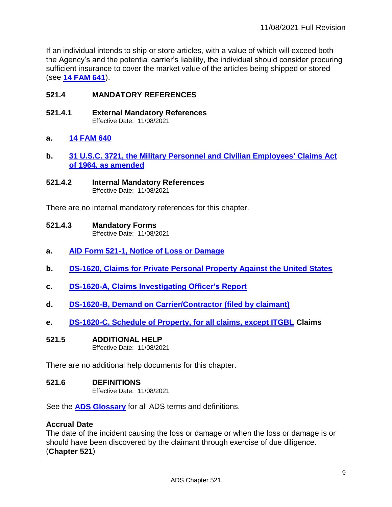If an individual intends to ship or store articles, with a value of which will exceed both the Agency's and the potential carrier's liability, the individual should consider procuring sufficient insurance to cover the market value of the articles being shipped or stored (see **[14 FAM 641](https://fam.state.gov/fam/14fam/14fam0640.html)**).

## <span id="page-8-0"></span>**521.4 MANDATORY REFERENCES**

<span id="page-8-1"></span>**521.4.1 External Mandatory References** Effective Date: 11/08/2021

#### **a. [14 FAM 640](https://fam.state.gov/fam/14fam/14fam0640.html)**

- **b. [31 U.S.C. 3721, the Military Personnel and Civilian Employees' Claims Act](https://www.govinfo.gov/app/details/USCODE-2010-title31/USCODE-2010-title31-subtitleIII-chap37-subchapIII-sec3721)  [of 1964, as amended](https://www.govinfo.gov/app/details/USCODE-2010-title31/USCODE-2010-title31-subtitleIII-chap37-subchapIII-sec3721)**
- <span id="page-8-2"></span>**521.4.2 Internal Mandatory References** Effective Date: 11/08/2021

There are no internal mandatory references for this chapter.

#### <span id="page-8-3"></span>**521.4.3 Mandatory Forms**

Effective Date: 11/08/2021

- **a. [AID Form 521-1, Notice of Loss or Damage](https://www.usaid.gov/forms/aid-521-1)**
- **b. [DS-1620, Claims for Private Personal Property Against the United States](https://www.usaid.gov/forms/ds-1620)**
- **c. [DS-1620-A, Claims Investigating Officer's Report](https://www.usaid.gov/forms/ds-1620a)**
- **d. [DS-1620-B, Demand on Carrier/Contractor \(filed by claimant\)](https://www.usaid.gov/forms/ds-1620b)**
- **e. [DS-1620-C, Schedule of Property, for all claims, except ITGBL](https://www.usaid.gov/forms/ds-1620c) Claims**

#### <span id="page-8-4"></span>**521.5 ADDITIONAL HELP**

Effective Date: 11/08/2021

There are no additional help documents for this chapter.

#### <span id="page-8-5"></span>**521.6 DEFINITIONS**

Effective Date: 11/08/2021

See the **[ADS Glossary](http://www.usaid.gov/ads/policy/glossary)** for all ADS terms and definitions.

#### **Accrual Date**

The date of the incident causing the loss or damage or when the loss or damage is or should have been discovered by the claimant through exercise of due diligence. (**Chapter 521**)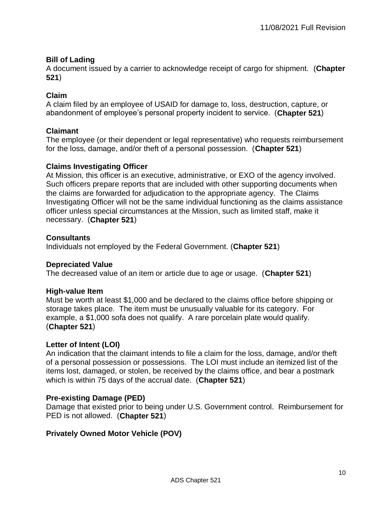## **Bill of Lading**

A document issued by a carrier to acknowledge receipt of cargo for shipment. (**Chapter 521**)

## **Claim**

A claim filed by an employee of USAID for damage to, loss, destruction, capture, or abandonment of employee's personal property incident to service. (**Chapter 521**)

#### **Claimant**

The employee (or their dependent or legal representative) who requests reimbursement for the loss, damage, and/or theft of a personal possession. (**Chapter 521**)

## **Claims Investigating Officer**

At Mission, this officer is an executive, administrative, or EXO of the agency involved. Such officers prepare reports that are included with other supporting documents when the claims are forwarded for adjudication to the appropriate agency. The Claims Investigating Officer will not be the same individual functioning as the claims assistance officer unless special circumstances at the Mission, such as limited staff, make it necessary. (**Chapter 521**)

## **Consultants**

Individuals not employed by the Federal Government. (**Chapter 521**)

#### **Depreciated Value**

The decreased value of an item or article due to age or usage. (**Chapter 521**)

#### **High-value Item**

Must be worth at least \$1,000 and be declared to the claims office before shipping or storage takes place. The item must be unusually valuable for its category. For example, a \$1,000 sofa does not qualify. A rare porcelain plate would qualify. (**Chapter 521**)

#### **Letter of Intent (LOI)**

An indication that the claimant intends to file a claim for the loss, damage, and/or theft of a personal possession or possessions. The LOI must include an itemized list of the items lost, damaged, or stolen, be received by the claims office, and bear a postmark which is within 75 days of the accrual date. (**Chapter 521**)

#### **Pre-existing Damage (PED)**

Damage that existed prior to being under U.S. Government control. Reimbursement for PED is not allowed. (**Chapter 521**)

#### **Privately Owned Motor Vehicle (POV)**